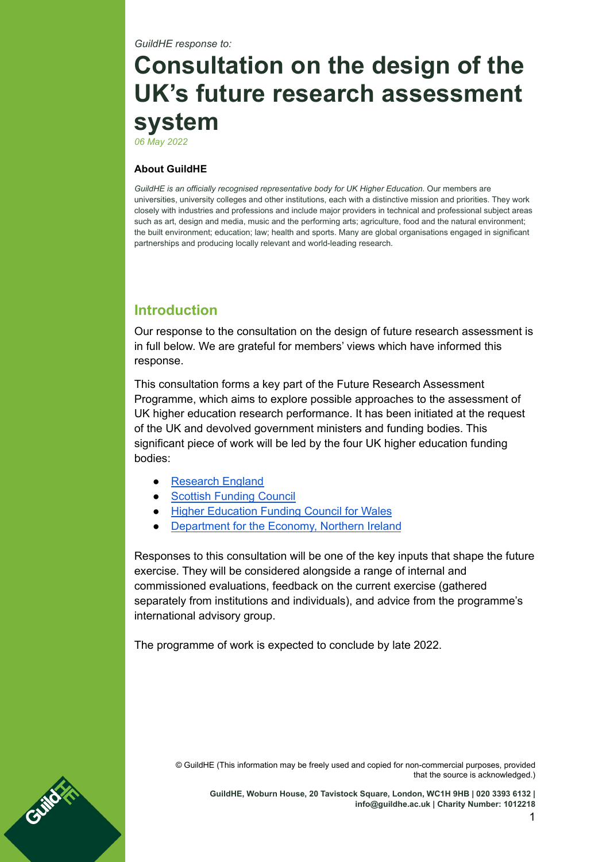*GuildHE response to:*

# **Consultation on the design of the UK's future research assessment system**

*06 May 2022*

#### **About GuildHE**

*[GuildHE](http://www.guildhe.ac.uk) is an officially recognised representative body for UK Higher Education.* Our members are universities, university colleges and other institutions, each with a distinctive mission and priorities. They work closely with industries and professions and include major providers in technical and professional subject areas such as art, design and media, music and the performing arts; agriculture, food and the natural environment; the built environment; education; law; health and sports. Many are global organisations engaged in significant partnerships and producing locally relevant and world-leading research.

# **Introduction**

Our response to the consultation on the design of future research assessment is in full below. We are grateful for members' views which have informed this response.

This consultation forms a key part of the Future Research Assessment Programme, which aims to explore possible approaches to the assessment of UK higher education research performance. It has been initiated at the request of the UK and devolved government ministers and funding bodies. This significant piece of work will be led by the four UK higher education funding bodies:

- [Research](https://re.ukri.org/) England
- Scottish [Funding](http://www.sfc.ac.uk/) Council
- Higher [Education](https://www.hefcw.ac.uk/) Funding Council for Wales
- [Department](https://www.economy-ni.gov.uk/) for the Economy, Northern Ireland

Responses to this consultation will be one of the key inputs that shape the future exercise. They will be considered alongside a range of internal and commissioned evaluations, feedback on the current exercise (gathered separately from institutions and individuals), and advice from the programme's international advisory group.

The programme of work is expected to conclude by late 2022.



© GuildHE (This information may be freely used and copied for non-commercial purposes, provided that the source is acknowledged.)

**GuildHE, Woburn House, 20 Tavistock Square, London, WC1H 9HB | 020 3393 6132 | [info@guildhe.ac.uk](mailto:info@guildhe.ac.uk) | Charity Number: 1012218**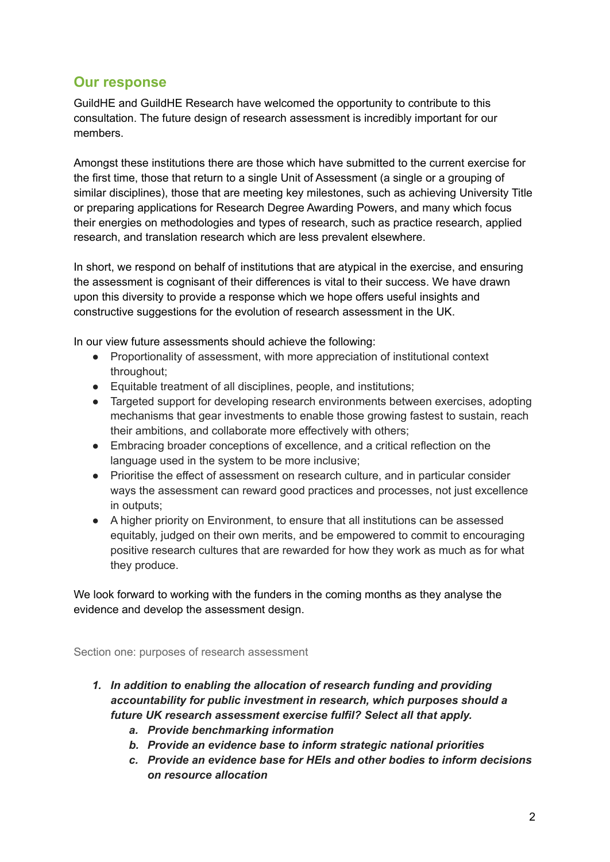# **Our response**

GuildHE and GuildHE Research have welcomed the opportunity to contribute to this consultation. The future design of research assessment is incredibly important for our members.

Amongst these institutions there are those which have submitted to the current exercise for the first time, those that return to a single Unit of Assessment (a single or a grouping of similar disciplines), those that are meeting key milestones, such as achieving University Title or preparing applications for Research Degree Awarding Powers, and many which focus their energies on methodologies and types of research, such as practice research, applied research, and translation research which are less prevalent elsewhere.

In short, we respond on behalf of institutions that are atypical in the exercise, and ensuring the assessment is cognisant of their differences is vital to their success. We have drawn upon this diversity to provide a response which we hope offers useful insights and constructive suggestions for the evolution of research assessment in the UK.

In our view future assessments should achieve the following:

- Proportionality of assessment, with more appreciation of institutional context throughout;
- Equitable treatment of all disciplines, people, and institutions;
- Targeted support for developing research environments between exercises, adopting mechanisms that gear investments to enable those growing fastest to sustain, reach their ambitions, and collaborate more effectively with others;
- Embracing broader conceptions of excellence, and a critical reflection on the language used in the system to be more inclusive;
- Prioritise the effect of assessment on research culture, and in particular consider ways the assessment can reward good practices and processes, not just excellence in outputs;
- A higher priority on Environment, to ensure that all institutions can be assessed equitably, judged on their own merits, and be empowered to commit to encouraging positive research cultures that are rewarded for how they work as much as for what they produce.

We look forward to working with the funders in the coming months as they analyse the evidence and develop the assessment design.

Section one: purposes of research assessment

- *1. In addition to enabling the allocation of research funding and providing accountability for public investment in research, which purposes should a future UK research assessment exercise fulfil? Select all that apply.*
	- *a. Provide benchmarking information*
	- *b. Provide an evidence base to inform strategic national priorities*
	- *c. Provide an evidence base for HEIs and other bodies to inform decisions on resource allocation*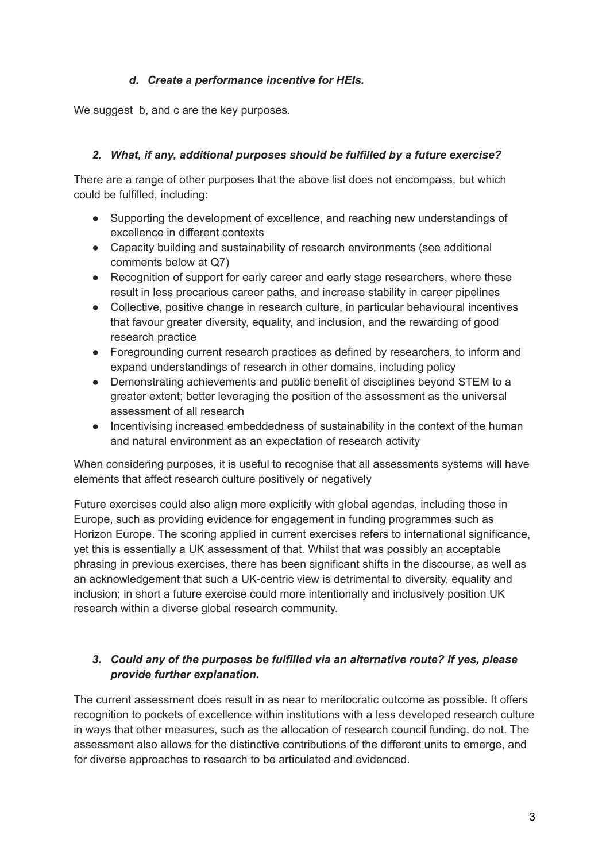#### *d. Create a performance incentive for HEIs.*

We suggest b, and c are the key purposes.

#### *2. What, if any, additional purposes should be fulfilled by a future exercise?*

There are a range of other purposes that the above list does not encompass, but which could be fulfilled, including:

- Supporting the development of excellence, and reaching new understandings of excellence in different contexts
- Capacity building and sustainability of research environments (see additional comments below at Q7)
- Recognition of support for early career and early stage researchers, where these result in less precarious career paths, and increase stability in career pipelines
- Collective, positive change in research culture, in particular behavioural incentives that favour greater diversity, equality, and inclusion, and the rewarding of good research practice
- Foregrounding current research practices as defined by researchers, to inform and expand understandings of research in other domains, including policy
- Demonstrating achievements and public benefit of disciplines beyond STEM to a greater extent; better leveraging the position of the assessment as the universal assessment of all research
- Incentivising increased embeddedness of sustainability in the context of the human and natural environment as an expectation of research activity

When considering purposes, it is useful to recognise that all assessments systems will have elements that affect research culture positively or negatively

Future exercises could also align more explicitly with global agendas, including those in Europe, such as providing evidence for engagement in funding programmes such as Horizon Europe. The scoring applied in current exercises refers to international significance, yet this is essentially a UK assessment of that. Whilst that was possibly an acceptable phrasing in previous exercises, there has been significant shifts in the discourse, as well as an acknowledgement that such a UK-centric view is detrimental to diversity, equality and inclusion; in short a future exercise could more intentionally and inclusively position UK research within a diverse global research community.

# *3. Could any of the purposes be fulfilled via an alternative route? If yes, please provide further explanation.*

The current assessment does result in as near to meritocratic outcome as possible. It offers recognition to pockets of excellence within institutions with a less developed research culture in ways that other measures, such as the allocation of research council funding, do not. The assessment also allows for the distinctive contributions of the different units to emerge, and for diverse approaches to research to be articulated and evidenced.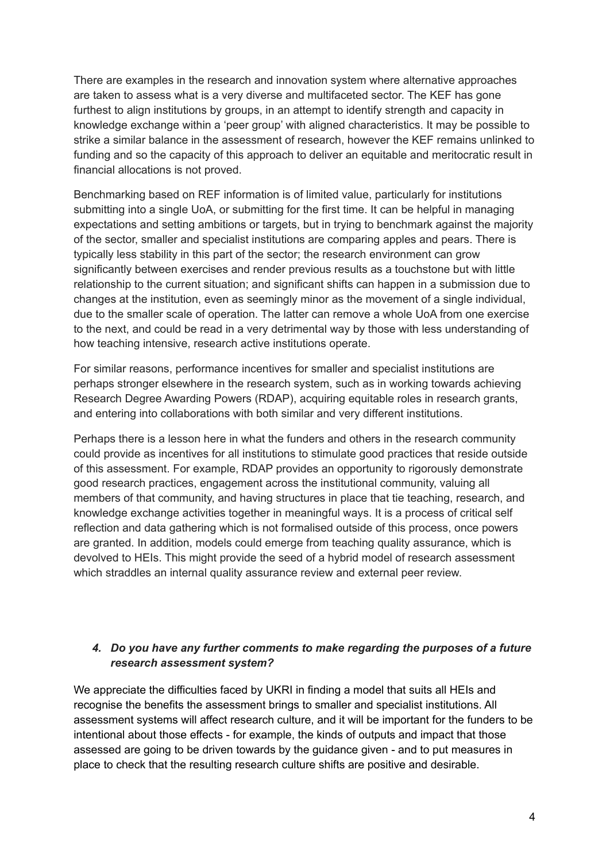There are examples in the research and innovation system where alternative approaches are taken to assess what is a very diverse and multifaceted sector. The KEF has gone furthest to align institutions by groups, in an attempt to identify strength and capacity in knowledge exchange within a 'peer group' with aligned characteristics. It may be possible to strike a similar balance in the assessment of research, however the KEF remains unlinked to funding and so the capacity of this approach to deliver an equitable and meritocratic result in financial allocations is not proved.

Benchmarking based on REF information is of limited value, particularly for institutions submitting into a single UoA, or submitting for the first time. It can be helpful in managing expectations and setting ambitions or targets, but in trying to benchmark against the majority of the sector, smaller and specialist institutions are comparing apples and pears. There is typically less stability in this part of the sector; the research environment can grow significantly between exercises and render previous results as a touchstone but with little relationship to the current situation; and significant shifts can happen in a submission due to changes at the institution, even as seemingly minor as the movement of a single individual, due to the smaller scale of operation. The latter can remove a whole UoA from one exercise to the next, and could be read in a very detrimental way by those with less understanding of how teaching intensive, research active institutions operate.

For similar reasons, performance incentives for smaller and specialist institutions are perhaps stronger elsewhere in the research system, such as in working towards achieving Research Degree Awarding Powers (RDAP), acquiring equitable roles in research grants, and entering into collaborations with both similar and very different institutions.

Perhaps there is a lesson here in what the funders and others in the research community could provide as incentives for all institutions to stimulate good practices that reside outside of this assessment. For example, RDAP provides an opportunity to rigorously demonstrate good research practices, engagement across the institutional community, valuing all members of that community, and having structures in place that tie teaching, research, and knowledge exchange activities together in meaningful ways. It is a process of critical self reflection and data gathering which is not formalised outside of this process, once powers are granted. In addition, models could emerge from teaching quality assurance, which is devolved to HEIs. This might provide the seed of a hybrid model of research assessment which straddles an internal quality assurance review and external peer review.

#### *4. Do you have any further comments to make regarding the purposes of a future research assessment system?*

We appreciate the difficulties faced by UKRI in finding a model that suits all HEIs and recognise the benefits the assessment brings to smaller and specialist institutions. All assessment systems will affect research culture, and it will be important for the funders to be intentional about those effects - for example, the kinds of outputs and impact that those assessed are going to be driven towards by the guidance given - and to put measures in place to check that the resulting research culture shifts are positive and desirable.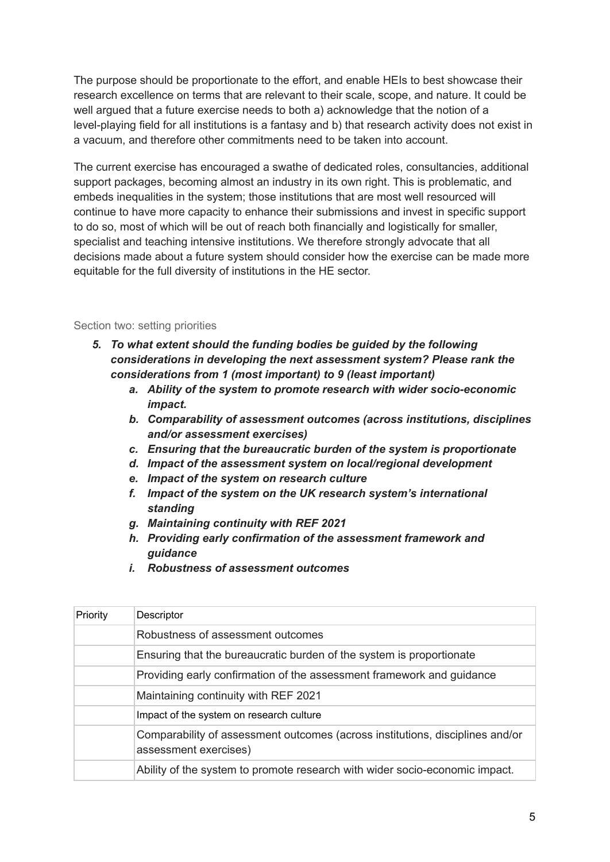The purpose should be proportionate to the effort, and enable HEIs to best showcase their research excellence on terms that are relevant to their scale, scope, and nature. It could be well argued that a future exercise needs to both a) acknowledge that the notion of a level-playing field for all institutions is a fantasy and b) that research activity does not exist in a vacuum, and therefore other commitments need to be taken into account.

The current exercise has encouraged a swathe of dedicated roles, consultancies, additional support packages, becoming almost an industry in its own right. This is problematic, and embeds inequalities in the system; those institutions that are most well resourced will continue to have more capacity to enhance their submissions and invest in specific support to do so, most of which will be out of reach both financially and logistically for smaller, specialist and teaching intensive institutions. We therefore strongly advocate that all decisions made about a future system should consider how the exercise can be made more equitable for the full diversity of institutions in the HE sector.

#### Section two: setting priorities

- *5. To what extent should the funding bodies be guided by the following considerations in developing the next assessment system? Please rank the considerations from 1 (most important) to 9 (least important)*
	- *a. Ability of the system to promote research with wider socio-economic impact.*
	- *b. Comparability of assessment outcomes (across institutions, disciplines and/or assessment exercises)*
	- *c. Ensuring that the bureaucratic burden of the system is proportionate*
	- *d. Impact of the assessment system on local/regional development*
	- *e. Impact of the system on research culture*
	- *f. Impact of the system on the UK research system's international standing*
	- *g. Maintaining continuity with REF 2021*
	- *h. Providing early confirmation of the assessment framework and guidance*
	- *i. Robustness of assessment outcomes*

| Priority | Descriptor                                                                                             |
|----------|--------------------------------------------------------------------------------------------------------|
|          | Robustness of assessment outcomes                                                                      |
|          | Ensuring that the bureaucratic burden of the system is proportionate                                   |
|          | Providing early confirmation of the assessment framework and guidance                                  |
|          | Maintaining continuity with REF 2021                                                                   |
|          | Impact of the system on research culture                                                               |
|          | Comparability of assessment outcomes (across institutions, disciplines and/or<br>assessment exercises) |
|          | Ability of the system to promote research with wider socio-economic impact.                            |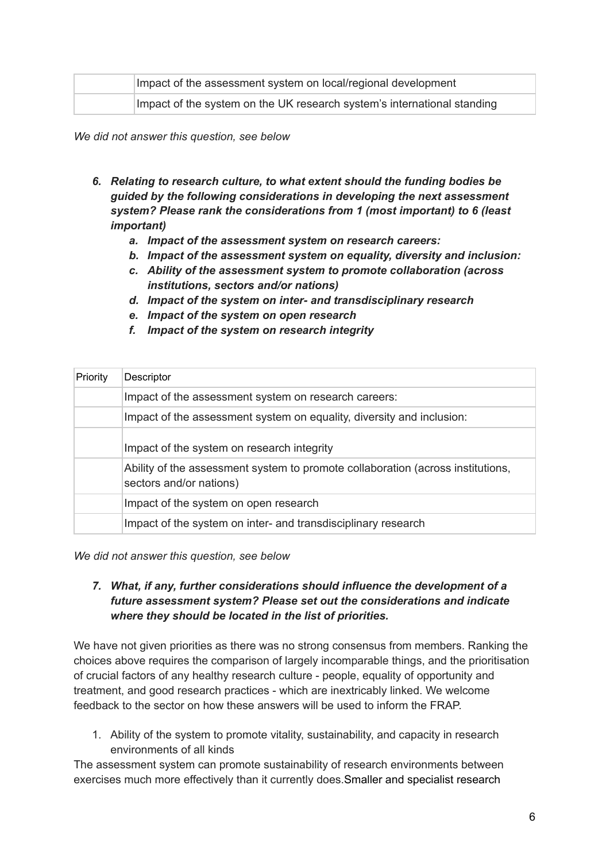| Impact of the assessment system on local/regional development           |
|-------------------------------------------------------------------------|
| Impact of the system on the UK research system's international standing |

*We did not answer this question, see below*

- *6. Relating to research culture, to what extent should the funding bodies be guided by the following considerations in developing the next assessment system? Please rank the considerations from 1 (most important) to 6 (least important)*
	- *a. Impact of the assessment system on research careers:*
	- *b. Impact of the assessment system on equality, diversity and inclusion:*
	- *c. Ability of the assessment system to promote collaboration (across institutions, sectors and/or nations)*
	- *d. Impact of the system on inter- and transdisciplinary research*
	- *e. Impact of the system on open research*
	- *f. Impact of the system on research integrity*

| Priority | Descriptor                                                                                                 |
|----------|------------------------------------------------------------------------------------------------------------|
|          | Impact of the assessment system on research careers:                                                       |
|          | Impact of the assessment system on equality, diversity and inclusion:                                      |
|          | Impact of the system on research integrity                                                                 |
|          | Ability of the assessment system to promote collaboration (across institutions,<br>sectors and/or nations) |
|          | Impact of the system on open research                                                                      |
|          | Impact of the system on inter- and transdisciplinary research                                              |

*We did not answer this question, see below*

#### *7. What, if any, further considerations should influence the development of a future assessment system? Please set out the considerations and indicate where they should be located in the list of priorities.*

We have not given priorities as there was no strong consensus from members. Ranking the choices above requires the comparison of largely incomparable things, and the prioritisation of crucial factors of any healthy research culture - people, equality of opportunity and treatment, and good research practices - which are inextricably linked. We welcome feedback to the sector on how these answers will be used to inform the FRAP.

1. Ability of the system to promote vitality, sustainability, and capacity in research environments of all kinds

The assessment system can promote sustainability of research environments between exercises much more effectively than it currently does.Smaller and specialist research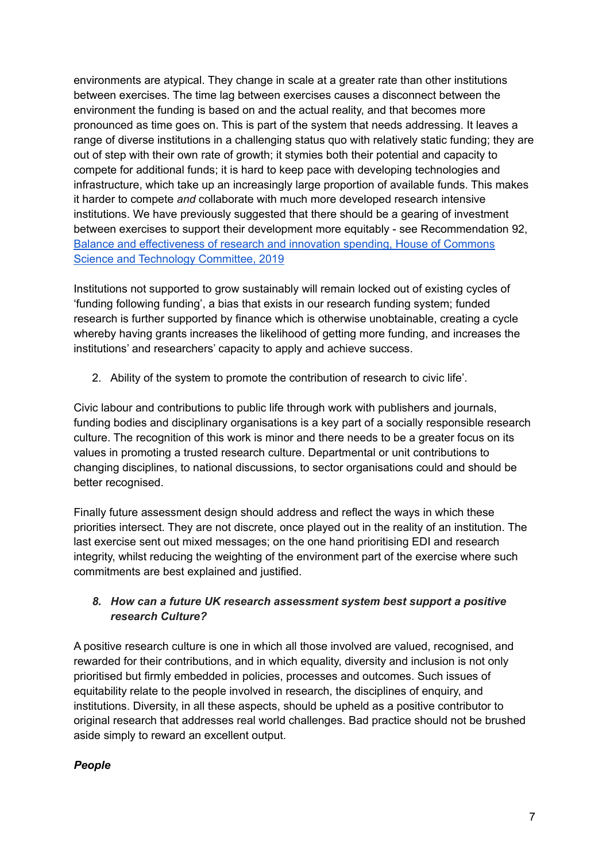environments are atypical. They change in scale at a greater rate than other institutions between exercises. The time lag between exercises causes a disconnect between the environment the funding is based on and the actual reality, and that becomes more pronounced as time goes on. This is part of the system that needs addressing. It leaves a range of diverse institutions in a challenging status quo with relatively static funding; they are out of step with their own rate of growth; it stymies both their potential and capacity to compete for additional funds; it is hard to keep pace with developing technologies and infrastructure, which take up an increasingly large proportion of available funds. This makes it harder to compete *and* collaborate with much more developed research intensive institutions. We have previously suggested that there should be a gearing of investment between exercises to support their development more equitably - see Recommendation 92, Balance and [effectiveness](https://publications.parliament.uk/pa/cm201719/cmselect/cmsctech/1453/145302.htm) of research and innovation spending, House of Commons Science and Technology [Committee,](https://publications.parliament.uk/pa/cm201719/cmselect/cmsctech/1453/145302.htm) 2019

Institutions not supported to grow sustainably will remain locked out of existing cycles of 'funding following funding', a bias that exists in our research funding system; funded research is further supported by finance which is otherwise unobtainable, creating a cycle whereby having grants increases the likelihood of getting more funding, and increases the institutions' and researchers' capacity to apply and achieve success.

2. Ability of the system to promote the contribution of research to civic life'.

Civic labour and contributions to public life through work with publishers and journals, funding bodies and disciplinary organisations is a key part of a socially responsible research culture. The recognition of this work is minor and there needs to be a greater focus on its values in promoting a trusted research culture. Departmental or unit contributions to changing disciplines, to national discussions, to sector organisations could and should be better recognised.

Finally future assessment design should address and reflect the ways in which these priorities intersect. They are not discrete, once played out in the reality of an institution. The last exercise sent out mixed messages; on the one hand prioritising EDI and research integrity, whilst reducing the weighting of the environment part of the exercise where such commitments are best explained and justified.

## *8. How can a future UK research assessment system best support a positive research Culture?*

A positive research culture is one in which all those involved are valued, recognised, and rewarded for their contributions, and in which equality, diversity and inclusion is not only prioritised but firmly embedded in policies, processes and outcomes. Such issues of equitability relate to the people involved in research, the disciplines of enquiry, and institutions. Diversity, in all these aspects, should be upheld as a positive contributor to original research that addresses real world challenges. Bad practice should not be brushed aside simply to reward an excellent output.

#### *People*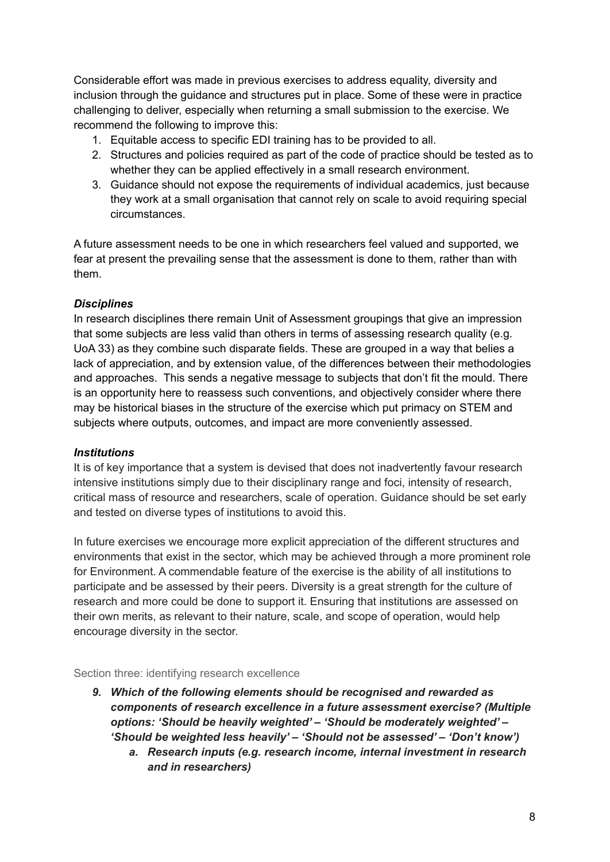Considerable effort was made in previous exercises to address equality, diversity and inclusion through the guidance and structures put in place. Some of these were in practice challenging to deliver, especially when returning a small submission to the exercise. We recommend the following to improve this:

- 1. Equitable access to specific EDI training has to be provided to all.
- 2. Structures and policies required as part of the code of practice should be tested as to whether they can be applied effectively in a small research environment.
- 3. Guidance should not expose the requirements of individual academics, just because they work at a small organisation that cannot rely on scale to avoid requiring special circumstances.

A future assessment needs to be one in which researchers feel valued and supported, we fear at present the prevailing sense that the assessment is done to them, rather than with them.

#### *Disciplines*

In research disciplines there remain Unit of Assessment groupings that give an impression that some subjects are less valid than others in terms of assessing research quality (e.g. UoA 33) as they combine such disparate fields. These are grouped in a way that belies a lack of appreciation, and by extension value, of the differences between their methodologies and approaches. This sends a negative message to subjects that don't fit the mould. There is an opportunity here to reassess such conventions, and objectively consider where there may be historical biases in the structure of the exercise which put primacy on STEM and subjects where outputs, outcomes, and impact are more conveniently assessed.

#### *Institutions*

It is of key importance that a system is devised that does not inadvertently favour research intensive institutions simply due to their disciplinary range and foci, intensity of research, critical mass of resource and researchers, scale of operation. Guidance should be set early and tested on diverse types of institutions to avoid this.

In future exercises we encourage more explicit appreciation of the different structures and environments that exist in the sector, which may be achieved through a more prominent role for Environment. A commendable feature of the exercise is the ability of all institutions to participate and be assessed by their peers. Diversity is a great strength for the culture of research and more could be done to support it. Ensuring that institutions are assessed on their own merits, as relevant to their nature, scale, and scope of operation, would help encourage diversity in the sector.

Section three: identifying research excellence

- *9. Which of the following elements should be recognised and rewarded as components of research excellence in a future assessment exercise? (Multiple options: 'Should be heavily weighted' – 'Should be moderately weighted' – 'Should be weighted less heavily' – 'Should not be assessed' – 'Don't know')*
	- *a. Research inputs (e.g. research income, internal investment in research and in researchers)*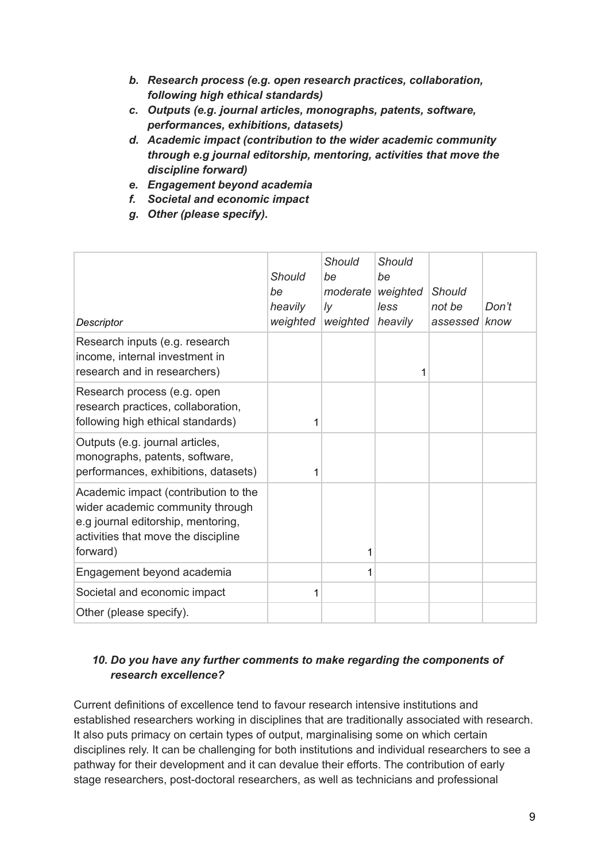- *b. Research process (e.g. open research practices, collaboration, following high ethical standards)*
- *c. Outputs (e.g. journal articles, monographs, patents, software, performances, exhibitions, datasets)*
- *d. Academic impact (contribution to the wider academic community through e.g journal editorship, mentoring, activities that move the discipline forward)*
- *e. Engagement beyond academia*
- *f. Societal and economic impact*
- *g. Other (please specify).*

| Descriptor                                                                                                                                                        | <b>Should</b><br>be<br>heavily<br>weighted | <b>Should</b><br>be<br>moderate<br>Iy<br>weighted | Should<br>be<br>weighted<br>less<br>heavily | <b>Should</b><br>not be<br>assessed know | Don't |
|-------------------------------------------------------------------------------------------------------------------------------------------------------------------|--------------------------------------------|---------------------------------------------------|---------------------------------------------|------------------------------------------|-------|
| Research inputs (e.g. research<br>income, internal investment in<br>research and in researchers)                                                                  |                                            |                                                   | 1                                           |                                          |       |
| Research process (e.g. open<br>research practices, collaboration,<br>following high ethical standards)                                                            | 1                                          |                                                   |                                             |                                          |       |
| Outputs (e.g. journal articles,<br>monographs, patents, software,<br>performances, exhibitions, datasets)                                                         | 1                                          |                                                   |                                             |                                          |       |
| Academic impact (contribution to the<br>wider academic community through<br>e.g journal editorship, mentoring,<br>activities that move the discipline<br>forward) |                                            | 1                                                 |                                             |                                          |       |
| Engagement beyond academia                                                                                                                                        |                                            | 1                                                 |                                             |                                          |       |
| Societal and economic impact                                                                                                                                      | 1                                          |                                                   |                                             |                                          |       |
| Other (please specify).                                                                                                                                           |                                            |                                                   |                                             |                                          |       |

# *10. Do you have any further comments to make regarding the components of research excellence?*

Current definitions of excellence tend to favour research intensive institutions and established researchers working in disciplines that are traditionally associated with research. It also puts primacy on certain types of output, marginalising some on which certain disciplines rely. It can be challenging for both institutions and individual researchers to see a pathway for their development and it can devalue their efforts. The contribution of early stage researchers, post-doctoral researchers, as well as technicians and professional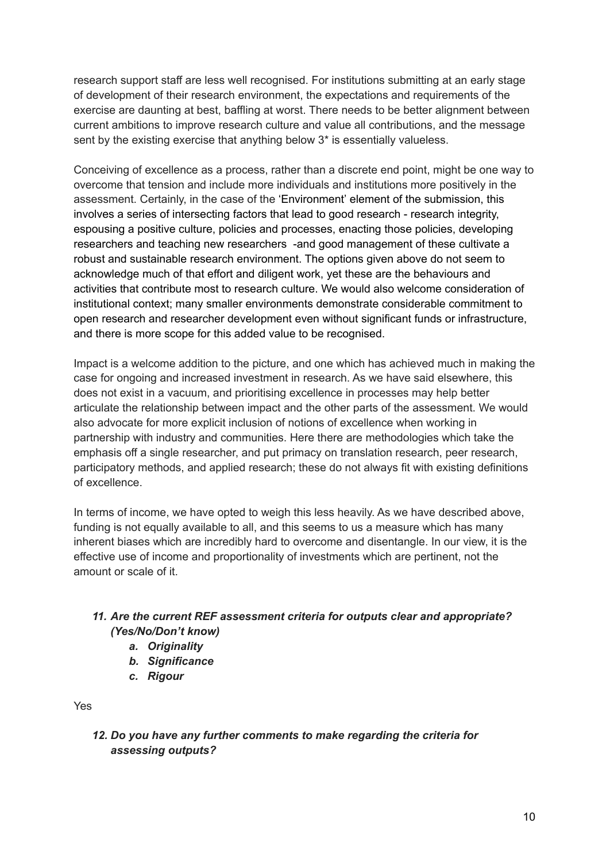research support staff are less well recognised. For institutions submitting at an early stage of development of their research environment, the expectations and requirements of the exercise are daunting at best, baffling at worst. There needs to be better alignment between current ambitions to improve research culture and value all contributions, and the message sent by the existing exercise that anything below 3\* is essentially valueless.

Conceiving of excellence as a process, rather than a discrete end point, might be one way to overcome that tension and include more individuals and institutions more positively in the assessment. Certainly, in the case of the 'Environment' element of the submission, this involves a series of intersecting factors that lead to good research - research integrity, espousing a positive culture, policies and processes, enacting those policies, developing researchers and teaching new researchers -and good management of these cultivate a robust and sustainable research environment. The options given above do not seem to acknowledge much of that effort and diligent work, yet these are the behaviours and activities that contribute most to research culture. We would also welcome consideration of institutional context; many smaller environments demonstrate considerable commitment to open research and researcher development even without significant funds or infrastructure, and there is more scope for this added value to be recognised.

Impact is a welcome addition to the picture, and one which has achieved much in making the case for ongoing and increased investment in research. As we have said elsewhere, this does not exist in a vacuum, and prioritising excellence in processes may help better articulate the relationship between impact and the other parts of the assessment. We would also advocate for more explicit inclusion of notions of excellence when working in partnership with industry and communities. Here there are methodologies which take the emphasis off a single researcher, and put primacy on translation research, peer research, participatory methods, and applied research; these do not always fit with existing definitions of excellence.

In terms of income, we have opted to weigh this less heavily. As we have described above, funding is not equally available to all, and this seems to us a measure which has many inherent biases which are incredibly hard to overcome and disentangle. In our view, it is the effective use of income and proportionality of investments which are pertinent, not the amount or scale of it.

# *11. Are the current REF assessment criteria for outputs clear and appropriate? (Yes/No/Don't know)*

- *a. Originality*
- *b. Significance*
- *c. Rigour*

Yes

*12. Do you have any further comments to make regarding the criteria for assessing outputs?*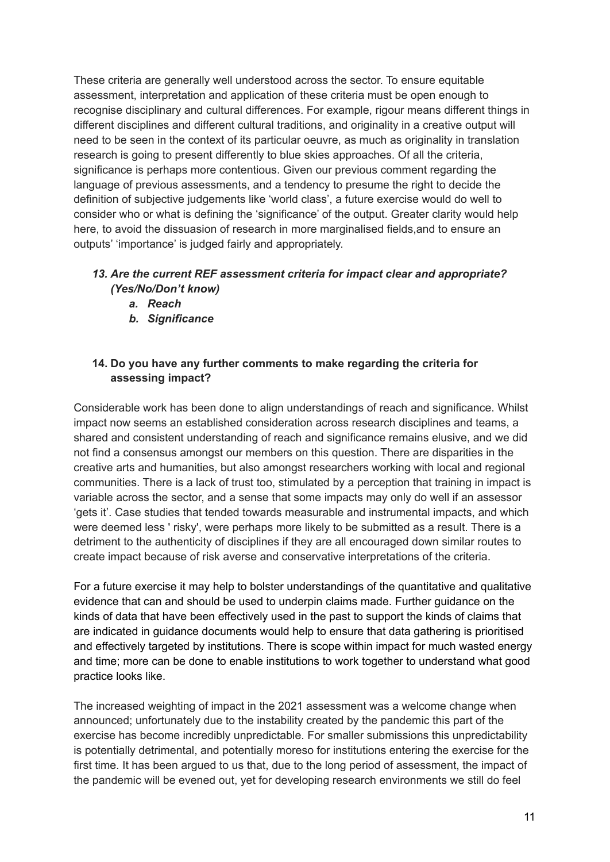These criteria are generally well understood across the sector. To ensure equitable assessment, interpretation and application of these criteria must be open enough to recognise disciplinary and cultural differences. For example, rigour means different things in different disciplines and different cultural traditions, and originality in a creative output will need to be seen in the context of its particular oeuvre, as much as originality in translation research is going to present differently to blue skies approaches. Of all the criteria, significance is perhaps more contentious. Given our previous comment regarding the language of previous assessments, and a tendency to presume the right to decide the definition of subjective judgements like 'world class', a future exercise would do well to consider who or what is defining the 'significance' of the output. Greater clarity would help here, to avoid the dissuasion of research in more marginalised fields,and to ensure an outputs' 'importance' is judged fairly and appropriately.

#### *13. Are the current REF assessment criteria for impact clear and appropriate? (Yes/No/Don't know)*

- *a. Reach*
- *b. Significance*

## **14. Do you have any further comments to make regarding the criteria for assessing impact?**

Considerable work has been done to align understandings of reach and significance. Whilst impact now seems an established consideration across research disciplines and teams, a shared and consistent understanding of reach and significance remains elusive, and we did not find a consensus amongst our members on this question. There are disparities in the creative arts and humanities, but also amongst researchers working with local and regional communities. There is a lack of trust too, stimulated by a perception that training in impact is variable across the sector, and a sense that some impacts may only do well if an assessor 'gets it'. Case studies that tended towards measurable and instrumental impacts, and which were deemed less ' risky', were perhaps more likely to be submitted as a result. There is a detriment to the authenticity of disciplines if they are all encouraged down similar routes to create impact because of risk averse and conservative interpretations of the criteria.

For a future exercise it may help to bolster understandings of the quantitative and qualitative evidence that can and should be used to underpin claims made. Further guidance on the kinds of data that have been effectively used in the past to support the kinds of claims that are indicated in guidance documents would help to ensure that data gathering is prioritised and effectively targeted by institutions. There is scope within impact for much wasted energy and time; more can be done to enable institutions to work together to understand what good practice looks like.

The increased weighting of impact in the 2021 assessment was a welcome change when announced; unfortunately due to the instability created by the pandemic this part of the exercise has become incredibly unpredictable. For smaller submissions this unpredictability is potentially detrimental, and potentially moreso for institutions entering the exercise for the first time. It has been argued to us that, due to the long period of assessment, the impact of the pandemic will be evened out, yet for developing research environments we still do feel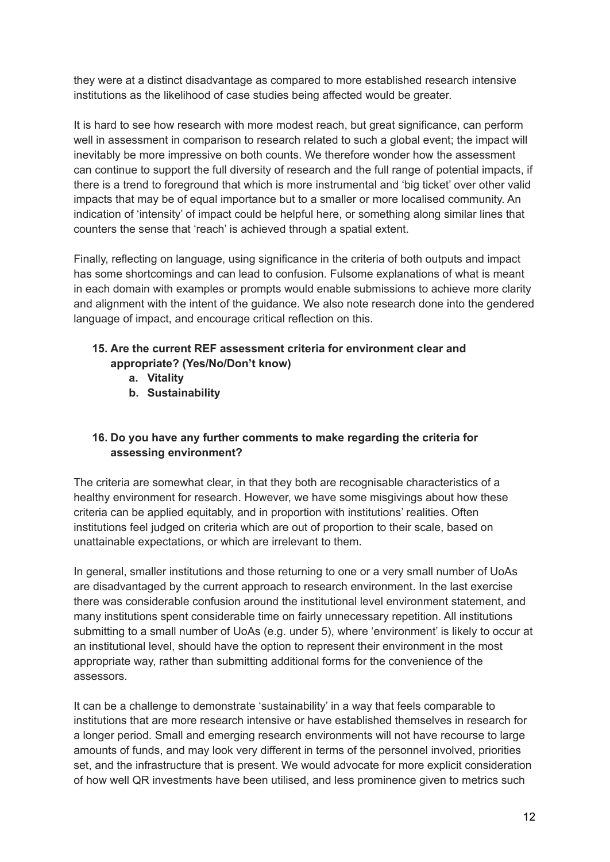they were at a distinct disadvantage as compared to more established research intensive institutions as the likelihood of case studies being affected would be greater.

It is hard to see how research with more modest reach, but great significance, can perform well in assessment in comparison to research related to such a global event; the impact will inevitably be more impressive on both counts. We therefore wonder how the assessment can continue to support the full diversity of research and the full range of potential impacts, if there is a trend to foreground that which is more instrumental and 'big ticket' over other valid impacts that may be of equal importance but to a smaller or more localised community. An indication of 'intensity' of impact could be helpful here, or something along similar lines that counters the sense that 'reach' is achieved through a spatial extent.

Finally, reflecting on language, using significance in the criteria of both outputs and impact has some shortcomings and can lead to confusion. Fulsome explanations of what is meant in each domain with examples or prompts would enable submissions to achieve more clarity and alignment with the intent of the guidance. We also note research done into the gendered language of impact, and encourage critical reflection on this.

## **15. Are the current REF assessment criteria for environment clear and appropriate? (Yes/No/Don't know)**

- **a. Vitality**
- **b. Sustainability**

# **16. Do you have any further comments to make regarding the criteria for assessing environment?**

The criteria are somewhat clear, in that they both are recognisable characteristics of a healthy environment for research. However, we have some misgivings about how these criteria can be applied equitably, and in proportion with institutions' realities. Often institutions feel judged on criteria which are out of proportion to their scale, based on unattainable expectations, or which are irrelevant to them.

In general, smaller institutions and those returning to one or a very small number of UoAs are disadvantaged by the current approach to research environment. In the last exercise there was considerable confusion around the institutional level environment statement, and many institutions spent considerable time on fairly unnecessary repetition. All institutions submitting to a small number of UoAs (e.g. under 5), where 'environment' is likely to occur at an institutional level, should have the option to represent their environment in the most appropriate way, rather than submitting additional forms for the convenience of the assessors.

It can be a challenge to demonstrate 'sustainability' in a way that feels comparable to institutions that are more research intensive or have established themselves in research for a longer period. Small and emerging research environments will not have recourse to large amounts of funds, and may look very different in terms of the personnel involved, priorities set, and the infrastructure that is present. We would advocate for more explicit consideration of how well QR investments have been utilised, and less prominence given to metrics such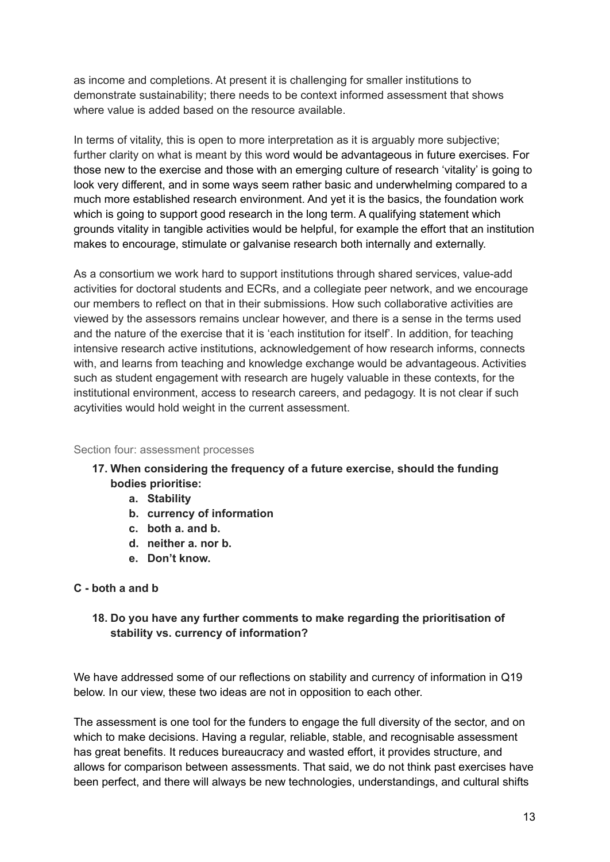as income and completions. At present it is challenging for smaller institutions to demonstrate sustainability; there needs to be context informed assessment that shows where value is added based on the resource available.

In terms of vitality, this is open to more interpretation as it is arguably more subjective; further clarity on what is meant by this word would be advantageous in future exercises. For those new to the exercise and those with an emerging culture of research 'vitality' is going to look very different, and in some ways seem rather basic and underwhelming compared to a much more established research environment. And yet it is the basics, the foundation work which is going to support good research in the long term. A qualifying statement which grounds vitality in tangible activities would be helpful, for example the effort that an institution makes to encourage, stimulate or galvanise research both internally and externally.

As a consortium we work hard to support institutions through shared services, value-add activities for doctoral students and ECRs, and a collegiate peer network, and we encourage our members to reflect on that in their submissions. How such collaborative activities are viewed by the assessors remains unclear however, and there is a sense in the terms used and the nature of the exercise that it is 'each institution for itself'. In addition, for teaching intensive research active institutions, acknowledgement of how research informs, connects with, and learns from teaching and knowledge exchange would be advantageous. Activities such as student engagement with research are hugely valuable in these contexts, for the institutional environment, access to research careers, and pedagogy. It is not clear if such acytivities would hold weight in the current assessment.

#### Section four: assessment processes

- **17. When considering the frequency of a future exercise, should the funding bodies prioritise:**
	- **a. Stability**
	- **b. currency of information**
	- **c. both a. and b.**
	- **d. neither a. nor b.**
	- **e. Don't know.**

#### **C - both a and b**

## **18. Do you have any further comments to make regarding the prioritisation of stability vs. currency of information?**

We have addressed some of our reflections on stability and currency of information in Q19 below. In our view, these two ideas are not in opposition to each other.

The assessment is one tool for the funders to engage the full diversity of the sector, and on which to make decisions. Having a regular, reliable, stable, and recognisable assessment has great benefits. It reduces bureaucracy and wasted effort, it provides structure, and allows for comparison between assessments. That said, we do not think past exercises have been perfect, and there will always be new technologies, understandings, and cultural shifts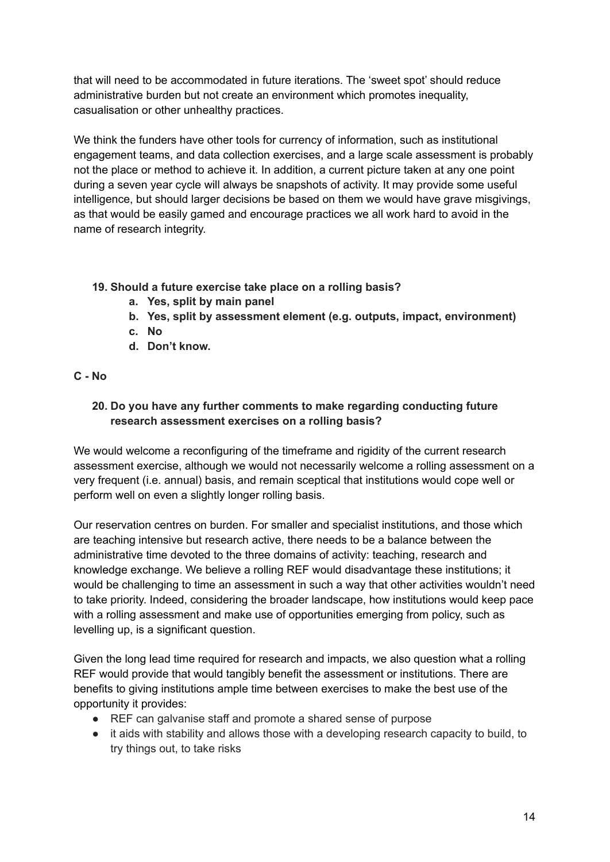that will need to be accommodated in future iterations. The 'sweet spot' should reduce administrative burden but not create an environment which promotes inequality, casualisation or other unhealthy practices.

We think the funders have other tools for currency of information, such as institutional engagement teams, and data collection exercises, and a large scale assessment is probably not the place or method to achieve it. In addition, a current picture taken at any one point during a seven year cycle will always be snapshots of activity. It may provide some useful intelligence, but should larger decisions be based on them we would have grave misgivings, as that would be easily gamed and encourage practices we all work hard to avoid in the name of research integrity.

## **19. Should a future exercise take place on a rolling basis?**

- **a. Yes, split by main panel**
- **b. Yes, split by assessment element (e.g. outputs, impact, environment)**
- **c. No**
- **d. Don't know.**

#### **C - No**

#### **20. Do you have any further comments to make regarding conducting future research assessment exercises on a rolling basis?**

We would welcome a reconfiguring of the timeframe and rigidity of the current research assessment exercise, although we would not necessarily welcome a rolling assessment on a very frequent (i.e. annual) basis, and remain sceptical that institutions would cope well or perform well on even a slightly longer rolling basis.

Our reservation centres on burden. For smaller and specialist institutions, and those which are teaching intensive but research active, there needs to be a balance between the administrative time devoted to the three domains of activity: teaching, research and knowledge exchange. We believe a rolling REF would disadvantage these institutions; it would be challenging to time an assessment in such a way that other activities wouldn't need to take priority. Indeed, considering the broader landscape, how institutions would keep pace with a rolling assessment and make use of opportunities emerging from policy, such as levelling up, is a significant question.

Given the long lead time required for research and impacts, we also question what a rolling REF would provide that would tangibly benefit the assessment or institutions. There are benefits to giving institutions ample time between exercises to make the best use of the opportunity it provides:

- REF can galvanise staff and promote a shared sense of purpose
- it aids with stability and allows those with a developing research capacity to build, to try things out, to take risks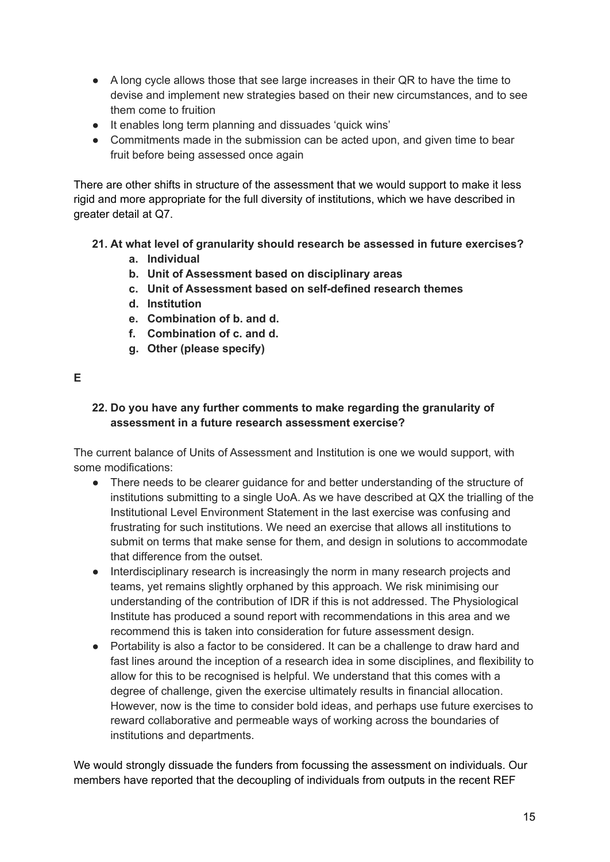- A long cycle allows those that see large increases in their QR to have the time to devise and implement new strategies based on their new circumstances, and to see them come to fruition
- It enables long term planning and dissuades 'quick wins'
- Commitments made in the submission can be acted upon, and given time to bear fruit before being assessed once again

There are other shifts in structure of the assessment that we would support to make it less rigid and more appropriate for the full diversity of institutions, which we have described in greater detail at Q7.

- **21. At what level of granularity should research be assessed in future exercises?**
	- **a. Individual**
	- **b. Unit of Assessment based on disciplinary areas**
	- **c. Unit of Assessment based on self-defined research themes**
	- **d. Institution**
	- **e. Combination of b. and d.**
	- **f. Combination of c. and d.**
	- **g. Other (please specify)**

#### **E**

#### **22. Do you have any further comments to make regarding the granularity of assessment in a future research assessment exercise?**

The current balance of Units of Assessment and Institution is one we would support, with some modifications:

- There needs to be clearer guidance for and better understanding of the structure of institutions submitting to a single UoA. As we have described at QX the trialling of the Institutional Level Environment Statement in the last exercise was confusing and frustrating for such institutions. We need an exercise that allows all institutions to submit on terms that make sense for them, and design in solutions to accommodate that difference from the outset.
- Interdisciplinary research is increasingly the norm in many research projects and teams, yet remains slightly orphaned by this approach. We risk minimising our understanding of the contribution of IDR if this is not addressed. The Physiological Institute has produced a sound report with recommendations in this area and we recommend this is taken into consideration for future assessment design.
- Portability is also a factor to be considered. It can be a challenge to draw hard and fast lines around the inception of a research idea in some disciplines, and flexibility to allow for this to be recognised is helpful. We understand that this comes with a degree of challenge, given the exercise ultimately results in financial allocation. However, now is the time to consider bold ideas, and perhaps use future exercises to reward collaborative and permeable ways of working across the boundaries of institutions and departments.

We would strongly dissuade the funders from focussing the assessment on individuals. Our members have reported that the decoupling of individuals from outputs in the recent REF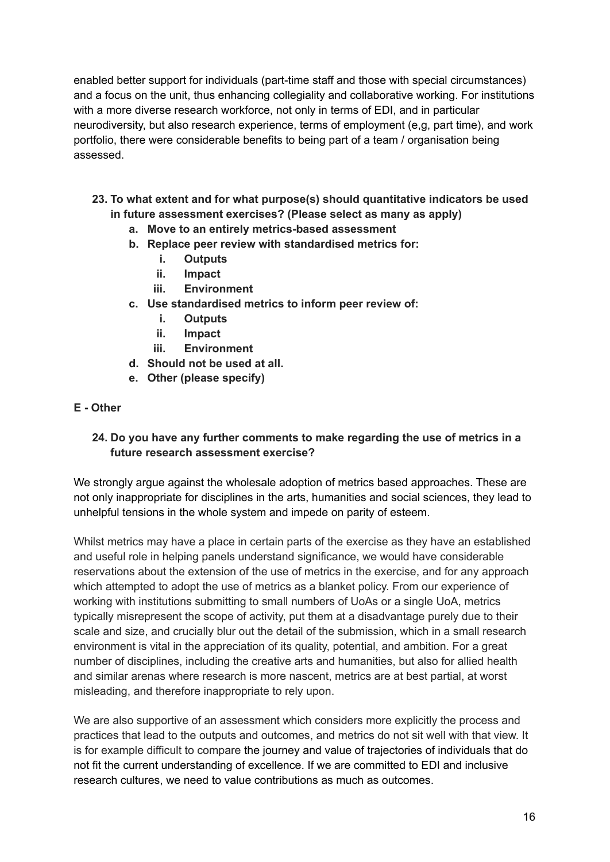enabled better support for individuals (part-time staff and those with special circumstances) and a focus on the unit, thus enhancing collegiality and collaborative working. For institutions with a more diverse research workforce, not only in terms of EDI, and in particular neurodiversity, but also research experience, terms of employment (e,g, part time), and work portfolio, there were considerable benefits to being part of a team / organisation being assessed.

- **23. To what extent and for what purpose(s) should quantitative indicators be used in future assessment exercises? (Please select as many as apply)**
	- **a. Move to an entirely metrics-based assessment**
	- **b. Replace peer review with standardised metrics for:**
		- **i. Outputs**
		- **ii. Impact**
		- **iii. Environment**
	- **c. Use standardised metrics to inform peer review of:**
		- **i. Outputs**
		- **ii. Impact**
		- **iii. Environment**
	- **d. Should not be used at all.**
	- **e. Other (please specify)**
- **E - Other**

#### **24. Do you have any further comments to make regarding the use of metrics in a future research assessment exercise?**

We strongly argue against the wholesale adoption of metrics based approaches. These are not only inappropriate for disciplines in the arts, humanities and social sciences, they lead to unhelpful tensions in the whole system and impede on parity of esteem.

Whilst metrics may have a place in certain parts of the exercise as they have an established and useful role in helping panels understand significance, we would have considerable reservations about the extension of the use of metrics in the exercise, and for any approach which attempted to adopt the use of metrics as a blanket policy. From our experience of working with institutions submitting to small numbers of UoAs or a single UoA, metrics typically misrepresent the scope of activity, put them at a disadvantage purely due to their scale and size, and crucially blur out the detail of the submission, which in a small research environment is vital in the appreciation of its quality, potential, and ambition. For a great number of disciplines, including the creative arts and humanities, but also for allied health and similar arenas where research is more nascent, metrics are at best partial, at worst misleading, and therefore inappropriate to rely upon.

We are also supportive of an assessment which considers more explicitly the process and practices that lead to the outputs and outcomes, and metrics do not sit well with that view. It is for example difficult to compare the journey and value of trajectories of individuals that do not fit the current understanding of excellence. If we are committed to EDI and inclusive research cultures, we need to value contributions as much as outcomes.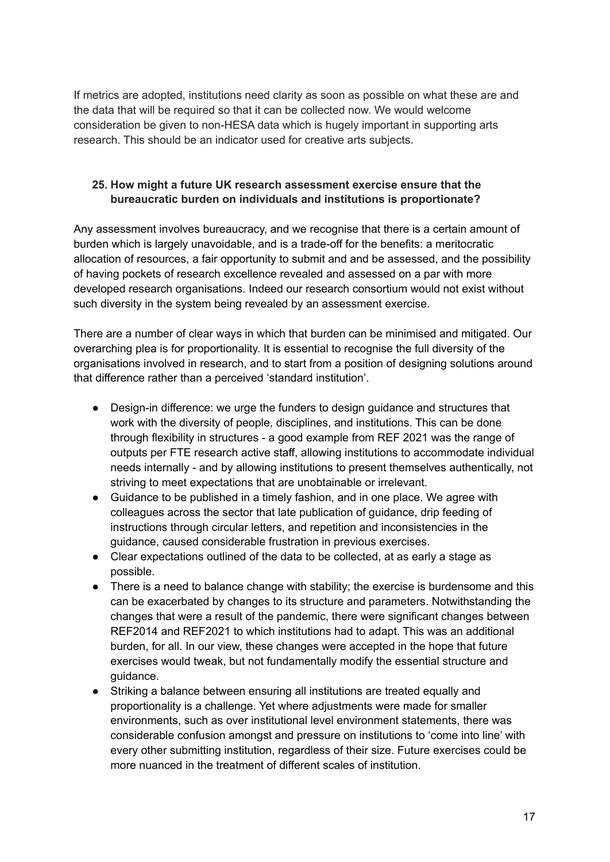If metrics are adopted, institutions need clarity as soon as possible on what these are and the data that will be required so that it can be collected now. We would welcome consideration be given to non-HESA data which is hugely important in supporting arts research. This should be an indicator used for creative arts subjects.

#### **25. How might a future UK research assessment exercise ensure that the bureaucratic burden on individuals and institutions is proportionate?**

Any assessment involves bureaucracy, and we recognise that there is a certain amount of burden which is largely unavoidable, and is a trade-off for the benefits: a meritocratic allocation of resources, a fair opportunity to submit and and be assessed, and the possibility of having pockets of research excellence revealed and assessed on a par with more developed research organisations. Indeed our research consortium would not exist without such diversity in the system being revealed by an assessment exercise.

There are a number of clear ways in which that burden can be minimised and mitigated. Our overarching plea is for proportionality. It is essential to recognise the full diversity of the organisations involved in research, and to start from a position of designing solutions around that difference rather than a perceived 'standard institution'.

- Design-in difference: we urge the funders to design guidance and structures that work with the diversity of people, disciplines, and institutions. This can be done through flexibility in structures - a good example from REF 2021 was the range of outputs per FTE research active staff, allowing institutions to accommodate individual needs internally - and by allowing institutions to present themselves authentically, not striving to meet expectations that are unobtainable or irrelevant.
- Guidance to be published in a timely fashion, and in one place. We agree with colleagues across the sector that late publication of guidance, drip feeding of instructions through circular letters, and repetition and inconsistencies in the guidance, caused considerable frustration in previous exercises.
- Clear expectations outlined of the data to be collected, at as early a stage as possible.
- There is a need to balance change with stability; the exercise is burdensome and this can be exacerbated by changes to its structure and parameters. Notwithstanding the changes that were a result of the pandemic, there were significant changes between REF2014 and REF2021 to which institutions had to adapt. This was an additional burden, for all. In our view, these changes were accepted in the hope that future exercises would tweak, but not fundamentally modify the essential structure and guidance.
- Striking a balance between ensuring all institutions are treated equally and proportionality is a challenge. Yet where adjustments were made for smaller environments, such as over institutional level environment statements, there was considerable confusion amongst and pressure on institutions to 'come into line' with every other submitting institution, regardless of their size. Future exercises could be more nuanced in the treatment of different scales of institution.